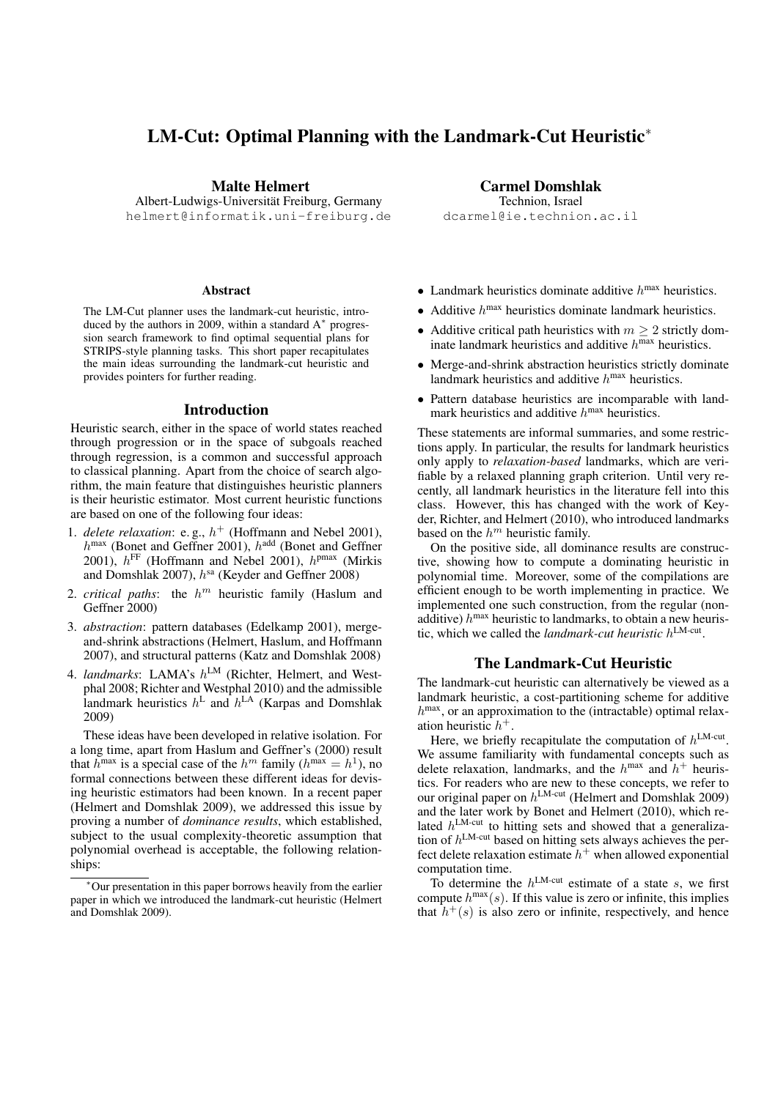# LM-Cut: Optimal Planning with the Landmark-Cut Heuristic<sup>∗</sup>

Malte Helmert

Albert-Ludwigs-Universitat Freiburg, Germany ¨ helmert@informatik.uni-freiburg.de

#### Abstract

The LM-Cut planner uses the landmark-cut heuristic, introduced by the authors in 2009, within a standard A<sup>∗</sup> progression search framework to find optimal sequential plans for STRIPS-style planning tasks. This short paper recapitulates the main ideas surrounding the landmark-cut heuristic and provides pointers for further reading.

### Introduction

Heuristic search, either in the space of world states reached through progression or in the space of subgoals reached through regression, is a common and successful approach to classical planning. Apart from the choice of search algorithm, the main feature that distinguishes heuristic planners is their heuristic estimator. Most current heuristic functions are based on one of the following four ideas:

- 1. *delete relaxation*: e.g.,  $h^+$  (Hoffmann and Nebel 2001),  $h^{\text{max}}$  (Bonet and Geffner 2001),  $h^{\text{add}}$  (Bonet and Geffner 2001),  $h^{\text{FF}}$  (Hoffmann and Nebel 2001),  $h^{\text{pmax}}$  (Mirkis and Domshlak 2007),  $h^{\text{sa}}$  (Keyder and Geffner 2008)
- 2. *critical paths*: the  $h^m$  heuristic family (Haslum and Geffner 2000)
- 3. *abstraction*: pattern databases (Edelkamp 2001), mergeand-shrink abstractions (Helmert, Haslum, and Hoffmann 2007), and structural patterns (Katz and Domshlak 2008)
- 4. *landmarks*: LAMA's h LM (Richter, Helmert, and Westphal 2008; Richter and Westphal 2010) and the admissible landmark heuristics  $h^L$  and  $h^{LA}$  (Karpas and Domshlak 2009)

These ideas have been developed in relative isolation. For a long time, apart from Haslum and Geffner's (2000) result that  $h^{max}$  is a special case of the  $h^{m}$  family ( $h^{max} = h^{1}$ ), no formal connections between these different ideas for devising heuristic estimators had been known. In a recent paper (Helmert and Domshlak 2009), we addressed this issue by proving a number of *dominance results*, which established, subject to the usual complexity-theoretic assumption that polynomial overhead is acceptable, the following relationships:

Carmel Domshlak Technion, Israel dcarmel@ie.technion.ac.il

- Landmark heuristics dominate additive  $h^{max}$  heuristics.
- Additive  $h^{max}$  heuristics dominate landmark heuristics.
- Additive critical path heuristics with  $m \geq 2$  strictly dominate landmark heuristics and additive  $h^{max}$  heuristics.
- Merge-and-shrink abstraction heuristics strictly dominate landmark heuristics and additive  $h^{\text{max}}$  heuristics.
- Pattern database heuristics are incomparable with landmark heuristics and additive  $h^{\text{max}}$  heuristics.

These statements are informal summaries, and some restrictions apply. In particular, the results for landmark heuristics only apply to *relaxation-based* landmarks, which are verifiable by a relaxed planning graph criterion. Until very recently, all landmark heuristics in the literature fell into this class. However, this has changed with the work of Keyder, Richter, and Helmert (2010), who introduced landmarks based on the  $h^m$  heuristic family.

On the positive side, all dominance results are constructive, showing how to compute a dominating heuristic in polynomial time. Moreover, some of the compilations are efficient enough to be worth implementing in practice. We implemented one such construction, from the regular (nonadditive)  $h^{max}$  heuristic to landmarks, to obtain a new heuristic, which we called the *landmark-cut heuristic* h LM-cut .

## The Landmark-Cut Heuristic

The landmark-cut heuristic can alternatively be viewed as a landmark heuristic, a cost-partitioning scheme for additive  $h^{\text{max}}$ , or an approximation to the (intractable) optimal relaxation heuristic  $h^+$ .

Here, we briefly recapitulate the computation of  $h^{\text{LM-cut}}$ . We assume familiarity with fundamental concepts such as delete relaxation, landmarks, and the  $h^{max}$  and  $h^{+}$  heuristics. For readers who are new to these concepts, we refer to our original paper on  $h^{\text{LM-cut}}$  (Helmert and Domshlak 2009) and the later work by Bonet and Helmert (2010), which related  $h^{\text{LM-cut}}$  to hitting sets and showed that a generalization of  $h^{\text{LM-cut}}$  based on hitting sets always achieves the perfect delete relaxation estimate  $h^+$  when allowed exponential computation time.

To determine the  $h^{\text{LM-cut}}$  estimate of a state s, we first compute  $h^{\text{max}}(s)$ . If this value is zero or infinite, this implies that  $h^+(s)$  is also zero or infinite, respectively, and hence

<sup>∗</sup>Our presentation in this paper borrows heavily from the earlier paper in which we introduced the landmark-cut heuristic (Helmert and Domshlak 2009).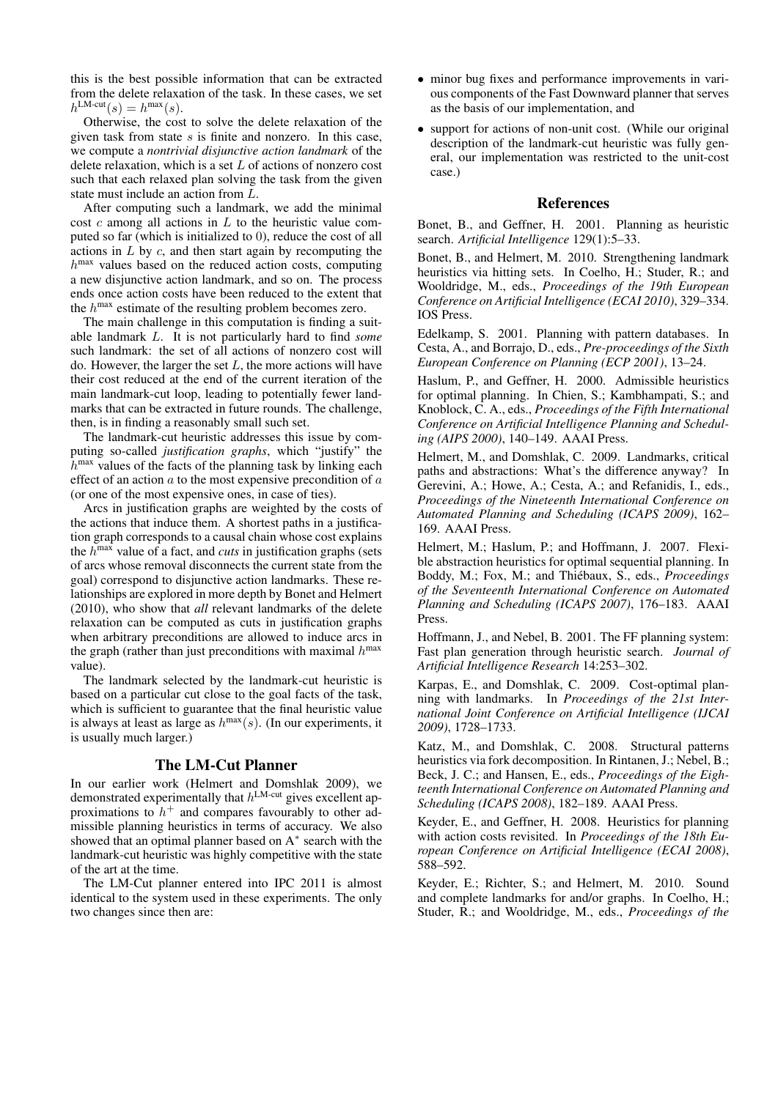this is the best possible information that can be extracted from the delete relaxation of the task. In these cases, we set  $h^{\text{LM-cut}}(s) = h^{\text{max}}(s).$ 

Otherwise, the cost to solve the delete relaxation of the given task from state  $s$  is finite and nonzero. In this case, we compute a *nontrivial disjunctive action landmark* of the delete relaxation, which is a set L of actions of nonzero cost such that each relaxed plan solving the task from the given state must include an action from L.

After computing such a landmark, we add the minimal cost  $c$  among all actions in  $L$  to the heuristic value computed so far (which is initialized to 0), reduce the cost of all actions in  $L$  by  $c$ , and then start again by recomputing the  $h^{\text{max}}$  values based on the reduced action costs, computing a new disjunctive action landmark, and so on. The process ends once action costs have been reduced to the extent that the  $h^{max}$  estimate of the resulting problem becomes zero.

The main challenge in this computation is finding a suitable landmark L. It is not particularly hard to find *some* such landmark: the set of all actions of nonzero cost will do. However, the larger the set  $L$ , the more actions will have their cost reduced at the end of the current iteration of the main landmark-cut loop, leading to potentially fewer landmarks that can be extracted in future rounds. The challenge, then, is in finding a reasonably small such set.

The landmark-cut heuristic addresses this issue by computing so-called *justification graphs*, which "justify" the  $h^{\text{max}}$  values of the facts of the planning task by linking each effect of an action  $a$  to the most expensive precondition of  $a$ (or one of the most expensive ones, in case of ties).

Arcs in justification graphs are weighted by the costs of the actions that induce them. A shortest paths in a justification graph corresponds to a causal chain whose cost explains the  $h^{\text{max}}$  value of a fact, and *cuts* in justification graphs (sets of arcs whose removal disconnects the current state from the goal) correspond to disjunctive action landmarks. These relationships are explored in more depth by Bonet and Helmert (2010), who show that *all* relevant landmarks of the delete relaxation can be computed as cuts in justification graphs when arbitrary preconditions are allowed to induce arcs in the graph (rather than just preconditions with maximal  $h^{\text{max}}$ value).

The landmark selected by the landmark-cut heuristic is based on a particular cut close to the goal facts of the task, which is sufficient to guarantee that the final heuristic value is always at least as large as  $h^{\text{max}}(s)$ . (In our experiments, it is usually much larger.)

### The LM-Cut Planner

In our earlier work (Helmert and Domshlak 2009), we demonstrated experimentally that  $h^{\text{LM-cut}}$  gives excellent approximations to  $h$ <sup>+</sup> and compares favourably to other admissible planning heuristics in terms of accuracy. We also showed that an optimal planner based on A<sup>∗</sup> search with the landmark-cut heuristic was highly competitive with the state of the art at the time.

The LM-Cut planner entered into IPC 2011 is almost identical to the system used in these experiments. The only two changes since then are:

- minor bug fixes and performance improvements in various components of the Fast Downward planner that serves as the basis of our implementation, and
- support for actions of non-unit cost. (While our original description of the landmark-cut heuristic was fully general, our implementation was restricted to the unit-cost case.)

### References

Bonet, B., and Geffner, H. 2001. Planning as heuristic search. *Artificial Intelligence* 129(1):5–33.

Bonet, B., and Helmert, M. 2010. Strengthening landmark heuristics via hitting sets. In Coelho, H.; Studer, R.; and Wooldridge, M., eds., *Proceedings of the 19th European Conference on Artificial Intelligence (ECAI 2010)*, 329–334. IOS Press.

Edelkamp, S. 2001. Planning with pattern databases. In Cesta, A., and Borrajo, D., eds., *Pre-proceedings of the Sixth European Conference on Planning (ECP 2001)*, 13–24.

Haslum, P., and Geffner, H. 2000. Admissible heuristics for optimal planning. In Chien, S.; Kambhampati, S.; and Knoblock, C. A., eds., *Proceedings of the Fifth International Conference on Artificial Intelligence Planning and Scheduling (AIPS 2000)*, 140–149. AAAI Press.

Helmert, M., and Domshlak, C. 2009. Landmarks, critical paths and abstractions: What's the difference anyway? In Gerevini, A.; Howe, A.; Cesta, A.; and Refanidis, I., eds., *Proceedings of the Nineteenth International Conference on Automated Planning and Scheduling (ICAPS 2009)*, 162– 169. AAAI Press.

Helmert, M.; Haslum, P.; and Hoffmann, J. 2007. Flexible abstraction heuristics for optimal sequential planning. In Boddy, M.; Fox, M.; and Thiébaux, S., eds., Proceedings *of the Seventeenth International Conference on Automated Planning and Scheduling (ICAPS 2007)*, 176–183. AAAI Press.

Hoffmann, J., and Nebel, B. 2001. The FF planning system: Fast plan generation through heuristic search. *Journal of Artificial Intelligence Research* 14:253–302.

Karpas, E., and Domshlak, C. 2009. Cost-optimal planning with landmarks. In *Proceedings of the 21st International Joint Conference on Artificial Intelligence (IJCAI 2009)*, 1728–1733.

Katz, M., and Domshlak, C. 2008. Structural patterns heuristics via fork decomposition. In Rintanen, J.; Nebel, B.; Beck, J. C.; and Hansen, E., eds., *Proceedings of the Eighteenth International Conference on Automated Planning and Scheduling (ICAPS 2008)*, 182–189. AAAI Press.

Keyder, E., and Geffner, H. 2008. Heuristics for planning with action costs revisited. In *Proceedings of the 18th European Conference on Artificial Intelligence (ECAI 2008)*, 588–592.

Keyder, E.; Richter, S.; and Helmert, M. 2010. Sound and complete landmarks for and/or graphs. In Coelho, H.; Studer, R.; and Wooldridge, M., eds., *Proceedings of the*